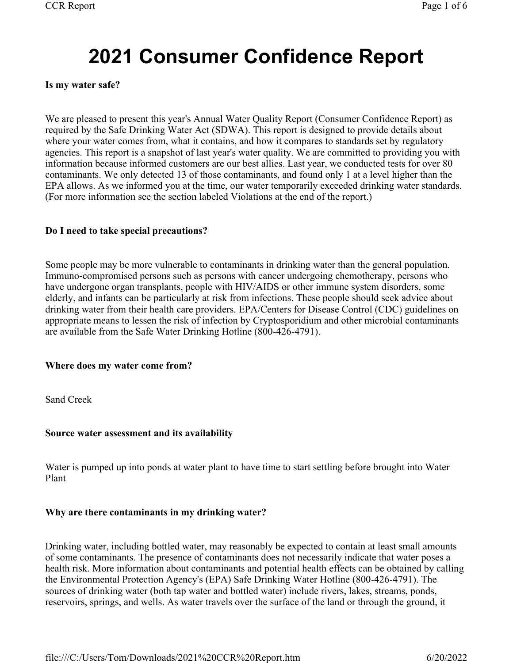# **2021 Consumer Confidence Report**

## **Is my water safe?**

We are pleased to present this year's Annual Water Quality Report (Consumer Confidence Report) as required by the Safe Drinking Water Act (SDWA). This report is designed to provide details about where your water comes from, what it contains, and how it compares to standards set by regulatory agencies. This report is a snapshot of last year's water quality. We are committed to providing you with information because informed customers are our best allies. Last year, we conducted tests for over 80 contaminants. We only detected 13 of those contaminants, and found only 1 at a level higher than the EPA allows. As we informed you at the time, our water temporarily exceeded drinking water standards. (For more information see the section labeled Violations at the end of the report.)

# **Do I need to take special precautions?**

Some people may be more vulnerable to contaminants in drinking water than the general population. Immuno-compromised persons such as persons with cancer undergoing chemotherapy, persons who have undergone organ transplants, people with HIV/AIDS or other immune system disorders, some elderly, and infants can be particularly at risk from infections. These people should seek advice about drinking water from their health care providers. EPA/Centers for Disease Control (CDC) guidelines on appropriate means to lessen the risk of infection by Cryptosporidium and other microbial contaminants are available from the Safe Water Drinking Hotline (800-426-4791).

#### **Where does my water come from?**

Sand Creek

# **Source water assessment and its availability**

Water is pumped up into ponds at water plant to have time to start settling before brought into Water Plant

# **Why are there contaminants in my drinking water?**

Drinking water, including bottled water, may reasonably be expected to contain at least small amounts of some contaminants. The presence of contaminants does not necessarily indicate that water poses a health risk. More information about contaminants and potential health effects can be obtained by calling the Environmental Protection Agency's (EPA) Safe Drinking Water Hotline (800-426-4791). The sources of drinking water (both tap water and bottled water) include rivers, lakes, streams, ponds, reservoirs, springs, and wells. As water travels over the surface of the land or through the ground, it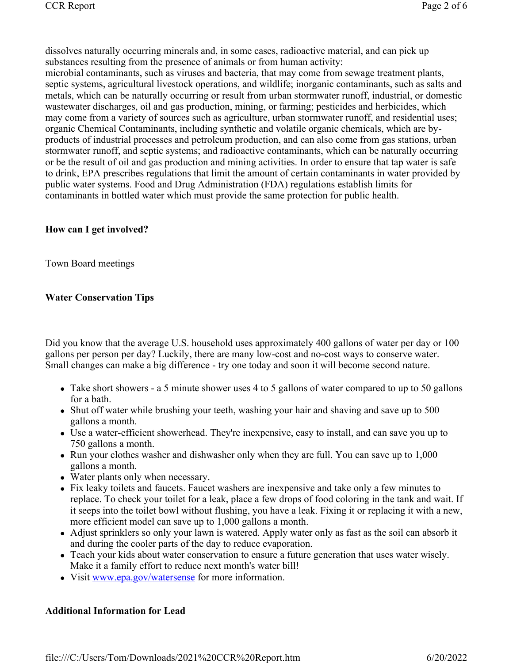dissolves naturally occurring minerals and, in some cases, radioactive material, and can pick up substances resulting from the presence of animals or from human activity:

microbial contaminants, such as viruses and bacteria, that may come from sewage treatment plants, septic systems, agricultural livestock operations, and wildlife; inorganic contaminants, such as salts and metals, which can be naturally occurring or result from urban stormwater runoff, industrial, or domestic wastewater discharges, oil and gas production, mining, or farming; pesticides and herbicides, which may come from a variety of sources such as agriculture, urban stormwater runoff, and residential uses; organic Chemical Contaminants, including synthetic and volatile organic chemicals, which are byproducts of industrial processes and petroleum production, and can also come from gas stations, urban stormwater runoff, and septic systems; and radioactive contaminants, which can be naturally occurring or be the result of oil and gas production and mining activities. In order to ensure that tap water is safe to drink, EPA prescribes regulations that limit the amount of certain contaminants in water provided by public water systems. Food and Drug Administration (FDA) regulations establish limits for contaminants in bottled water which must provide the same protection for public health.

# **How can I get involved?**

Town Board meetings

# **Water Conservation Tips**

Did you know that the average U.S. household uses approximately 400 gallons of water per day or 100 gallons per person per day? Luckily, there are many low-cost and no-cost ways to conserve water. Small changes can make a big difference - try one today and soon it will become second nature.

- Take short showers a 5 minute shower uses 4 to 5 gallons of water compared to up to 50 gallons for a bath.
- Shut off water while brushing your teeth, washing your hair and shaving and save up to 500 gallons a month.
- Use a water-efficient showerhead. They're inexpensive, easy to install, and can save you up to 750 gallons a month.
- Run your clothes washer and dishwasher only when they are full. You can save up to 1,000 gallons a month.
- Water plants only when necessary.
- Fix leaky toilets and faucets. Faucet washers are inexpensive and take only a few minutes to replace. To check your toilet for a leak, place a few drops of food coloring in the tank and wait. If it seeps into the toilet bowl without flushing, you have a leak. Fixing it or replacing it with a new, more efficient model can save up to 1,000 gallons a month.
- Adjust sprinklers so only your lawn is watered. Apply water only as fast as the soil can absorb it and during the cooler parts of the day to reduce evaporation.
- Teach your kids about water conservation to ensure a future generation that uses water wisely. Make it a family effort to reduce next month's water bill!
- Visit www.epa.gov/watersense for more information.

# **Additional Information for Lead**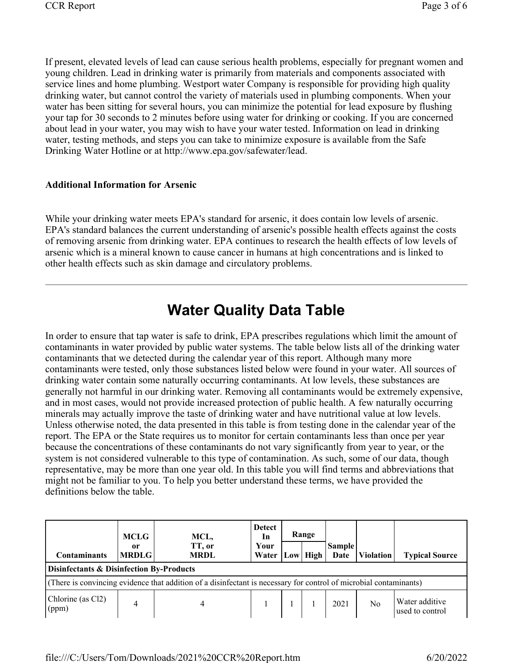If present, elevated levels of lead can cause serious health problems, especially for pregnant women and young children. Lead in drinking water is primarily from materials and components associated with service lines and home plumbing. Westport water Company is responsible for providing high quality drinking water, but cannot control the variety of materials used in plumbing components. When your water has been sitting for several hours, you can minimize the potential for lead exposure by flushing your tap for 30 seconds to 2 minutes before using water for drinking or cooking. If you are concerned about lead in your water, you may wish to have your water tested. Information on lead in drinking water, testing methods, and steps you can take to minimize exposure is available from the Safe Drinking Water Hotline or at http://www.epa.gov/safewater/lead.

# **Additional Information for Arsenic**

While your drinking water meets EPA's standard for arsenic, it does contain low levels of arsenic. EPA's standard balances the current understanding of arsenic's possible health effects against the costs of removing arsenic from drinking water. EPA continues to research the health effects of low levels of arsenic which is a mineral known to cause cancer in humans at high concentrations and is linked to other health effects such as skin damage and circulatory problems.

# **Water Quality Data Table**

In order to ensure that tap water is safe to drink, EPA prescribes regulations which limit the amount of contaminants in water provided by public water systems. The table below lists all of the drinking water contaminants that we detected during the calendar year of this report. Although many more contaminants were tested, only those substances listed below were found in your water. All sources of drinking water contain some naturally occurring contaminants. At low levels, these substances are generally not harmful in our drinking water. Removing all contaminants would be extremely expensive, and in most cases, would not provide increased protection of public health. A few naturally occurring minerals may actually improve the taste of drinking water and have nutritional value at low levels. Unless otherwise noted, the data presented in this table is from testing done in the calendar year of the report. The EPA or the State requires us to monitor for certain contaminants less than once per year because the concentrations of these contaminants do not vary significantly from year to year, or the system is not considered vulnerable to this type of contamination. As such, some of our data, though representative, may be more than one year old. In this table you will find terms and abbreviations that might not be familiar to you. To help you better understand these terms, we have provided the definitions below the table.

| <b>Contaminants</b>                                                                                               | MCLG<br>or<br><b>MRDLG</b> | MCL,<br>TT, or<br><b>MRDL</b> | <b>Detect</b><br>In<br>Your<br>Water |  | Range<br>Low High | <b>Sample</b><br>Date | <b>Violation</b> | <b>Typical Source</b>             |  |
|-------------------------------------------------------------------------------------------------------------------|----------------------------|-------------------------------|--------------------------------------|--|-------------------|-----------------------|------------------|-----------------------------------|--|
| <b>Disinfectants &amp; Disinfection By-Products</b>                                                               |                            |                               |                                      |  |                   |                       |                  |                                   |  |
| (There is convincing evidence that addition of a disinfectant is necessary for control of microbial contaminants) |                            |                               |                                      |  |                   |                       |                  |                                   |  |
| Chlorine (as Cl2)<br>(ppm)                                                                                        |                            |                               |                                      |  |                   | 2021                  | No               | Water additive<br>used to control |  |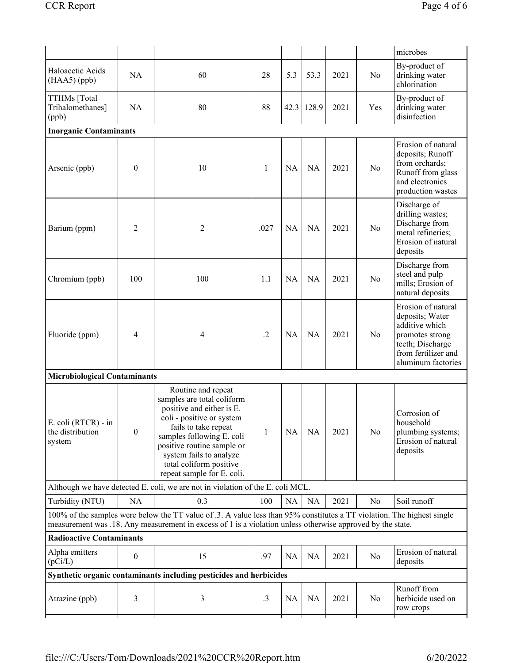|                                                                                                                                                                                                                                       |                               |                                                                                                                                                                                                                                                                                   |            |           |           |      |                | microbes                                                                                                                                    |  |  |  |
|---------------------------------------------------------------------------------------------------------------------------------------------------------------------------------------------------------------------------------------|-------------------------------|-----------------------------------------------------------------------------------------------------------------------------------------------------------------------------------------------------------------------------------------------------------------------------------|------------|-----------|-----------|------|----------------|---------------------------------------------------------------------------------------------------------------------------------------------|--|--|--|
| Haloacetic Acids<br>$(HAA5)$ (ppb)                                                                                                                                                                                                    | <b>NA</b>                     | 60                                                                                                                                                                                                                                                                                | 28         | 5.3       | 53.3      | 2021 | N <sub>o</sub> | By-product of<br>drinking water<br>chlorination                                                                                             |  |  |  |
| TTHMs [Total<br>Trihalomethanes]<br>(ppb)                                                                                                                                                                                             | <b>NA</b>                     | 80                                                                                                                                                                                                                                                                                | 88         | 42.3      | 128.9     | 2021 | Yes            | By-product of<br>drinking water<br>disinfection                                                                                             |  |  |  |
|                                                                                                                                                                                                                                       | <b>Inorganic Contaminants</b> |                                                                                                                                                                                                                                                                                   |            |           |           |      |                |                                                                                                                                             |  |  |  |
| Arsenic (ppb)                                                                                                                                                                                                                         | $\theta$                      | 10                                                                                                                                                                                                                                                                                | 1          | <b>NA</b> | <b>NA</b> | 2021 | No             | Erosion of natural<br>deposits; Runoff<br>from orchards;<br>Runoff from glass<br>and electronics<br>production wastes                       |  |  |  |
| Barium (ppm)                                                                                                                                                                                                                          | 2                             | 2                                                                                                                                                                                                                                                                                 | .027       | <b>NA</b> | <b>NA</b> | 2021 | No             | Discharge of<br>drilling wastes;<br>Discharge from<br>metal refineries;<br>Erosion of natural<br>deposits                                   |  |  |  |
| Chromium (ppb)                                                                                                                                                                                                                        | 100                           | 100                                                                                                                                                                                                                                                                               | 1.1        | <b>NA</b> | <b>NA</b> | 2021 | N <sub>o</sub> | Discharge from<br>steel and pulp<br>mills; Erosion of<br>natural deposits                                                                   |  |  |  |
| Fluoride (ppm)                                                                                                                                                                                                                        | 4                             | 4                                                                                                                                                                                                                                                                                 | $\cdot$ .2 | <b>NA</b> | <b>NA</b> | 2021 | No             | Erosion of natural<br>deposits; Water<br>additive which<br>promotes strong<br>teeth; Discharge<br>from fertilizer and<br>aluminum factories |  |  |  |
| <b>Microbiological Contaminants</b>                                                                                                                                                                                                   |                               |                                                                                                                                                                                                                                                                                   |            |           |           |      |                |                                                                                                                                             |  |  |  |
| E. coli (RTCR) - in<br>the distribution<br>system                                                                                                                                                                                     | $\mathbf{0}$                  | Routine and repeat<br>samples are total coliform<br>positive and either is E.<br>coli - positive or system<br>fails to take repeat<br>samples following E. coli<br>positive routine sample or<br>system fails to analyze<br>total coliform positive<br>repeat sample for E. coli. | 1          | NA        | <b>NA</b> | 2021 | No             | Corrosion of<br>household<br>plumbing systems;<br>Erosion of natural<br>deposits                                                            |  |  |  |
| Although we have detected E. coli, we are not in violation of the E. coli MCL.                                                                                                                                                        |                               |                                                                                                                                                                                                                                                                                   |            |           |           |      |                |                                                                                                                                             |  |  |  |
| Turbidity (NTU)                                                                                                                                                                                                                       | NA                            | 0.3                                                                                                                                                                                                                                                                               | 100        | <b>NA</b> | <b>NA</b> | 2021 | No             | Soil runoff                                                                                                                                 |  |  |  |
| 100% of the samples were below the TT value of .3. A value less than 95% constitutes a TT violation. The highest single<br>measurement was .18. Any measurement in excess of 1 is a violation unless otherwise approved by the state. |                               |                                                                                                                                                                                                                                                                                   |            |           |           |      |                |                                                                                                                                             |  |  |  |
| <b>Radioactive Contaminants</b>                                                                                                                                                                                                       |                               |                                                                                                                                                                                                                                                                                   |            |           |           |      |                |                                                                                                                                             |  |  |  |
| Alpha emitters<br>(pCi/L)                                                                                                                                                                                                             | $\bf{0}$                      | 15                                                                                                                                                                                                                                                                                | .97        | NA        | <b>NA</b> | 2021 | No             | Erosion of natural<br>deposits                                                                                                              |  |  |  |
| Synthetic organic contaminants including pesticides and herbicides                                                                                                                                                                    |                               |                                                                                                                                                                                                                                                                                   |            |           |           |      |                |                                                                                                                                             |  |  |  |
| Atrazine (ppb)                                                                                                                                                                                                                        | 3                             | 3                                                                                                                                                                                                                                                                                 | $\cdot$ 3  | <b>NA</b> | <b>NA</b> | 2021 | No             | Runoff from<br>herbicide used on<br>row crops                                                                                               |  |  |  |
|                                                                                                                                                                                                                                       |                               |                                                                                                                                                                                                                                                                                   |            |           |           |      |                |                                                                                                                                             |  |  |  |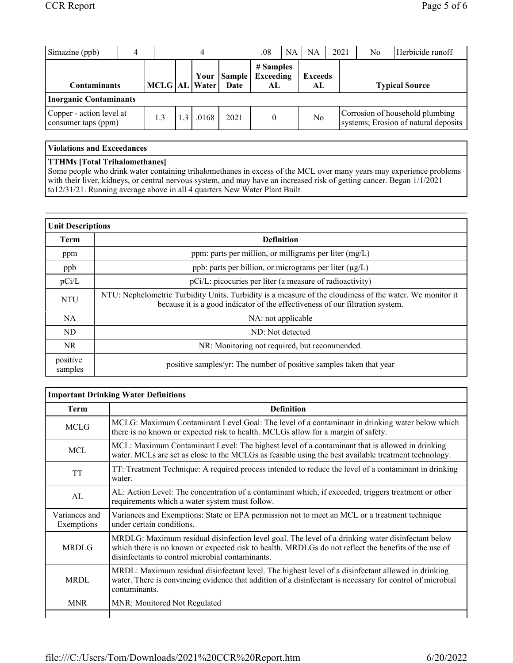| Simazine (ppb)                                  |                   | 4     |                       | .08                                  | NA. | <b>NA</b>            | 2021 |                       | No | Herbicide runoff                                                        |
|-------------------------------------------------|-------------------|-------|-----------------------|--------------------------------------|-----|----------------------|------|-----------------------|----|-------------------------------------------------------------------------|
| <b>Contaminants</b>                             | MCLG   AL   Water | Your  | <b>Sample</b><br>Date | # Samples<br><b>Exceeding</b><br>AL. |     | <b>Exceeds</b><br>AL |      | <b>Typical Source</b> |    |                                                                         |
| <b>Inorganic Contaminants</b>                   |                   |       |                       |                                      |     |                      |      |                       |    |                                                                         |
| Copper - action level at<br>consumer taps (ppm) | 1.3               | .0168 | 2021                  | $\theta$                             |     | No                   |      |                       |    | Corrosion of household plumbing<br>systems; Erosion of natural deposits |

### **Violations and Exceedances**

#### **TTHMs [Total Trihalomethanes]**

Some people who drink water containing trihalomethanes in excess of the MCL over many years may experience problems with their liver, kidneys, or central nervous system, and may have an increased risk of getting cancer. Began 1/1/2021 to12/31/21. Running average above in all 4 quarters New Water Plant Built

| <b>Unit Descriptions</b> |                                                                                                                                                                                           |  |  |  |  |
|--------------------------|-------------------------------------------------------------------------------------------------------------------------------------------------------------------------------------------|--|--|--|--|
| <b>Term</b>              | <b>Definition</b>                                                                                                                                                                         |  |  |  |  |
| ppm                      | ppm: parts per million, or milligrams per liter $(mg/L)$                                                                                                                                  |  |  |  |  |
| ppb                      | ppb: parts per billion, or micrograms per liter $(\mu g/L)$                                                                                                                               |  |  |  |  |
| pCi/L                    | pCi/L: picocuries per liter (a measure of radioactivity)                                                                                                                                  |  |  |  |  |
| <b>NTU</b>               | NTU: Nephelometric Turbidity Units. Turbidity is a measure of the cloudiness of the water. We monitor it<br>because it is a good indicator of the effectiveness of our filtration system. |  |  |  |  |
| NA.                      | NA: not applicable                                                                                                                                                                        |  |  |  |  |
| ND.                      | ND: Not detected                                                                                                                                                                          |  |  |  |  |
| NR.                      | NR: Monitoring not required, but recommended.                                                                                                                                             |  |  |  |  |
| positive<br>samples      | positive samples/yr: The number of positive samples taken that year                                                                                                                       |  |  |  |  |

| <b>Important Drinking Water Definitions</b> |                                                                                                                                                                                                                                                               |  |  |  |  |  |  |
|---------------------------------------------|---------------------------------------------------------------------------------------------------------------------------------------------------------------------------------------------------------------------------------------------------------------|--|--|--|--|--|--|
| Term                                        | <b>Definition</b>                                                                                                                                                                                                                                             |  |  |  |  |  |  |
| <b>MCLG</b>                                 | MCLG: Maximum Contaminant Level Goal: The level of a contaminant in drinking water below which<br>there is no known or expected risk to health. MCLGs allow for a margin of safety.                                                                           |  |  |  |  |  |  |
| <b>MCL</b>                                  | MCL: Maximum Contaminant Level: The highest level of a contaminant that is allowed in drinking<br>water. MCLs are set as close to the MCLGs as feasible using the best available treatment technology.                                                        |  |  |  |  |  |  |
| <b>TT</b>                                   | TT: Treatment Technique: A required process intended to reduce the level of a contaminant in drinking<br>water.                                                                                                                                               |  |  |  |  |  |  |
| AL                                          | AL: Action Level: The concentration of a contaminant which, if exceeded, triggers treatment or other<br>requirements which a water system must follow.                                                                                                        |  |  |  |  |  |  |
| Variances and<br>Exemptions                 | Variances and Exemptions: State or EPA permission not to meet an MCL or a treatment technique<br>under certain conditions.                                                                                                                                    |  |  |  |  |  |  |
| <b>MRDLG</b>                                | MRDLG: Maximum residual disinfection level goal. The level of a drinking water disinfectant below<br>which there is no known or expected risk to health. MRDLGs do not reflect the benefits of the use of<br>disinfectants to control microbial contaminants. |  |  |  |  |  |  |
| <b>MRDL</b>                                 | MRDL: Maximum residual disinfectant level. The highest level of a disinfectant allowed in drinking<br>water. There is convincing evidence that addition of a disinfectant is necessary for control of microbial<br>contaminants.                              |  |  |  |  |  |  |
| <b>MNR</b>                                  | MNR: Monitored Not Regulated                                                                                                                                                                                                                                  |  |  |  |  |  |  |
|                                             |                                                                                                                                                                                                                                                               |  |  |  |  |  |  |